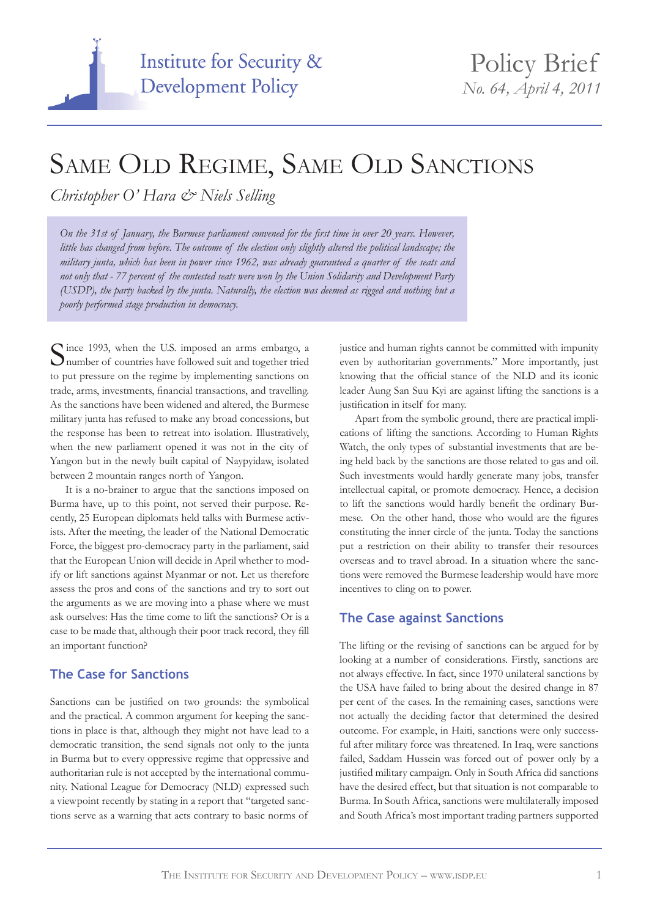

# SAME OLD REGIME, SAME OLD SANCTIONS

*Christopher O' Hara & Niels Selling*

*On the 31st of January, the Burmese parliament convened for the first time in over 20 years. However,*  little has changed from before. The outcome of the election only slightly altered the political landscape; the *military junta, which has been in power since 1962, was already guaranteed a quarter of the seats and not only that - 77 percent of the contested seats were won by the Union Solidarity and Development Party (USDP), the party backed by the junta. Naturally, the election was deemed as rigged and nothing but a poorly performed stage production in democracy.*

Since 1993, when the U.S. imposed an arms embargo, a number of countries have followed suit and together tried to put pressure on the regime by implementing sanctions on trade, arms, investments, financial transactions, and travelling. As the sanctions have been widened and altered, the Burmese military junta has refused to make any broad concessions, but the response has been to retreat into isolation. Illustratively, when the new parliament opened it was not in the city of Yangon but in the newly built capital of Naypyidaw, isolated between 2 mountain ranges north of Yangon.

It is a no-brainer to argue that the sanctions imposed on Burma have, up to this point, not served their purpose. Recently, 25 European diplomats held talks with Burmese activists. After the meeting, the leader of the National Democratic Force, the biggest pro-democracy party in the parliament, said that the European Union will decide in April whether to modify or lift sanctions against Myanmar or not. Let us therefore assess the pros and cons of the sanctions and try to sort out the arguments as we are moving into a phase where we must ask ourselves: Has the time come to lift the sanctions? Or is a case to be made that, although their poor track record, they fill an important function?

# **The Case for Sanctions**

Sanctions can be justified on two grounds: the symbolical and the practical. A common argument for keeping the sanctions in place is that, although they might not have lead to a democratic transition, the send signals not only to the junta in Burma but to every oppressive regime that oppressive and authoritarian rule is not accepted by the international community. National League for Democracy (NLD) expressed such a viewpoint recently by stating in a report that "targeted sanctions serve as a warning that acts contrary to basic norms of

justice and human rights cannot be committed with impunity even by authoritarian governments." More importantly, just knowing that the official stance of the NLD and its iconic leader Aung San Suu Kyi are against lifting the sanctions is a justification in itself for many.

Apart from the symbolic ground, there are practical implications of lifting the sanctions. According to Human Rights Watch, the only types of substantial investments that are being held back by the sanctions are those related to gas and oil. Such investments would hardly generate many jobs, transfer intellectual capital, or promote democracy. Hence, a decision to lift the sanctions would hardly benefit the ordinary Burmese. On the other hand, those who would are the figures constituting the inner circle of the junta. Today the sanctions put a restriction on their ability to transfer their resources overseas and to travel abroad. In a situation where the sanctions were removed the Burmese leadership would have more incentives to cling on to power.

## **The Case against Sanctions**

The lifting or the revising of sanctions can be argued for by looking at a number of considerations. Firstly, sanctions are not always effective. In fact, since 1970 unilateral sanctions by the USA have failed to bring about the desired change in 87 per cent of the cases. In the remaining cases, sanctions were not actually the deciding factor that determined the desired outcome. For example, in Haiti, sanctions were only successful after military force was threatened. In Iraq, were sanctions failed, Saddam Hussein was forced out of power only by a justified military campaign. Only in South Africa did sanctions have the desired effect, but that situation is not comparable to Burma. In South Africa, sanctions were multilaterally imposed and South Africa's most important trading partners supported